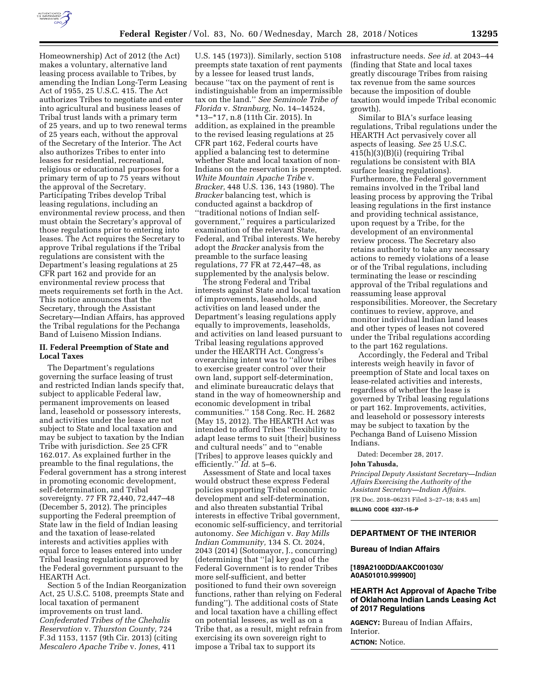

Homeownership) Act of 2012 (the Act) makes a voluntary, alternative land leasing process available to Tribes, by amending the Indian Long-Term Leasing Act of 1955, 25 U.S.C. 415. The Act authorizes Tribes to negotiate and enter into agricultural and business leases of Tribal trust lands with a primary term of 25 years, and up to two renewal terms of 25 years each, without the approval of the Secretary of the Interior. The Act also authorizes Tribes to enter into leases for residential, recreational, religious or educational purposes for a primary term of up to 75 years without the approval of the Secretary. Participating Tribes develop Tribal leasing regulations, including an environmental review process, and then must obtain the Secretary's approval of those regulations prior to entering into leases. The Act requires the Secretary to approve Tribal regulations if the Tribal regulations are consistent with the Department's leasing regulations at 25 CFR part 162 and provide for an environmental review process that meets requirements set forth in the Act. This notice announces that the Secretary, through the Assistant Secretary—Indian Affairs, has approved the Tribal regulations for the Pechanga Band of Luiseno Mission Indians.

# **II. Federal Preemption of State and Local Taxes**

The Department's regulations governing the surface leasing of trust and restricted Indian lands specify that, subject to applicable Federal law, permanent improvements on leased land, leasehold or possessory interests, and activities under the lease are not subject to State and local taxation and may be subject to taxation by the Indian Tribe with jurisdiction. *See* 25 CFR 162.017. As explained further in the preamble to the final regulations, the Federal government has a strong interest in promoting economic development, self-determination, and Tribal sovereignty. 77 FR 72,440, 72,447–48 (December 5, 2012). The principles supporting the Federal preemption of State law in the field of Indian leasing and the taxation of lease-related interests and activities applies with equal force to leases entered into under Tribal leasing regulations approved by the Federal government pursuant to the HEARTH Act.

Section 5 of the Indian Reorganization Act, 25 U.S.C. 5108, preempts State and local taxation of permanent improvements on trust land. *Confederated Tribes of the Chehalis Reservation* v. *Thurston County,* 724 F.3d 1153, 1157 (9th Cir. 2013) (citing *Mescalero Apache Tribe* v. *Jones,* 411

U.S. 145 (1973)). Similarly, section 5108 preempts state taxation of rent payments by a lessee for leased trust lands, because ''tax on the payment of rent is indistinguishable from an impermissible tax on the land.'' *See Seminole Tribe of Florida* v. *Stranburg,* No. 14–14524, \*13–\*17, n.8 (11th Cir. 2015). In addition, as explained in the preamble to the revised leasing regulations at 25 CFR part 162, Federal courts have applied a balancing test to determine whether State and local taxation of non-Indians on the reservation is preempted. *White Mountain Apache Tribe* v. *Bracker,* 448 U.S. 136, 143 (1980). The *Bracker* balancing test, which is conducted against a backdrop of ''traditional notions of Indian selfgovernment,'' requires a particularized examination of the relevant State, Federal, and Tribal interests. We hereby adopt the *Bracker* analysis from the preamble to the surface leasing regulations, 77 FR at 72,447–48, as supplemented by the analysis below.

The strong Federal and Tribal interests against State and local taxation of improvements, leaseholds, and activities on land leased under the Department's leasing regulations apply equally to improvements, leaseholds, and activities on land leased pursuant to Tribal leasing regulations approved under the HEARTH Act. Congress's overarching intent was to ''allow tribes to exercise greater control over their own land, support self-determination, and eliminate bureaucratic delays that stand in the way of homeownership and economic development in tribal communities.'' 158 Cong. Rec. H. 2682 (May 15, 2012). The HEARTH Act was intended to afford Tribes ''flexibility to adapt lease terms to suit [their] business and cultural needs'' and to ''enable [Tribes] to approve leases quickly and efficiently.'' *Id.* at 5–6.

Assessment of State and local taxes would obstruct these express Federal policies supporting Tribal economic development and self-determination, and also threaten substantial Tribal interests in effective Tribal government, economic self-sufficiency, and territorial autonomy. *See Michigan* v. *Bay Mills Indian Community,* 134 S. Ct. 2024, 2043 (2014) (Sotomayor, J., concurring) (determining that ''[a] key goal of the Federal Government is to render Tribes more self-sufficient, and better positioned to fund their own sovereign functions, rather than relying on Federal funding''). The additional costs of State and local taxation have a chilling effect on potential lessees, as well as on a Tribe that, as a result, might refrain from exercising its own sovereign right to impose a Tribal tax to support its

infrastructure needs. *See id.* at 2043–44 (finding that State and local taxes greatly discourage Tribes from raising tax revenue from the same sources because the imposition of double taxation would impede Tribal economic growth).

Similar to BIA's surface leasing regulations, Tribal regulations under the HEARTH Act pervasively cover all aspects of leasing. *See* 25 U.S.C. 415(h)(3)(B)(i) (requiring Tribal regulations be consistent with BIA surface leasing regulations). Furthermore, the Federal government remains involved in the Tribal land leasing process by approving the Tribal leasing regulations in the first instance and providing technical assistance, upon request by a Tribe, for the development of an environmental review process. The Secretary also retains authority to take any necessary actions to remedy violations of a lease or of the Tribal regulations, including terminating the lease or rescinding approval of the Tribal regulations and reassuming lease approval responsibilities. Moreover, the Secretary continues to review, approve, and monitor individual Indian land leases and other types of leases not covered under the Tribal regulations according to the part 162 regulations.

Accordingly, the Federal and Tribal interests weigh heavily in favor of preemption of State and local taxes on lease-related activities and interests, regardless of whether the lease is governed by Tribal leasing regulations or part 162. Improvements, activities, and leasehold or possessory interests may be subject to taxation by the Pechanga Band of Luiseno Mission Indians.

Dated: December 28, 2017.

### **John Tahusda,**

*Principal Deputy Assistant Secretary—Indian Affairs Exercising the Authority of the Assistant Secretary—Indian Affairs.*  [FR Doc. 2018–06231 Filed 3–27–18; 8:45 am] **BILLING CODE 4337–15–P** 

# **DEPARTMENT OF THE INTERIOR**

#### **Bureau of Indian Affairs**

#### **[189A2100DD/AAKC001030/ A0A501010.999900]**

# **HEARTH Act Approval of Apache Tribe of Oklahoma Indian Lands Leasing Act of 2017 Regulations**

**AGENCY:** Bureau of Indian Affairs, Interior.

**ACTION:** Notice.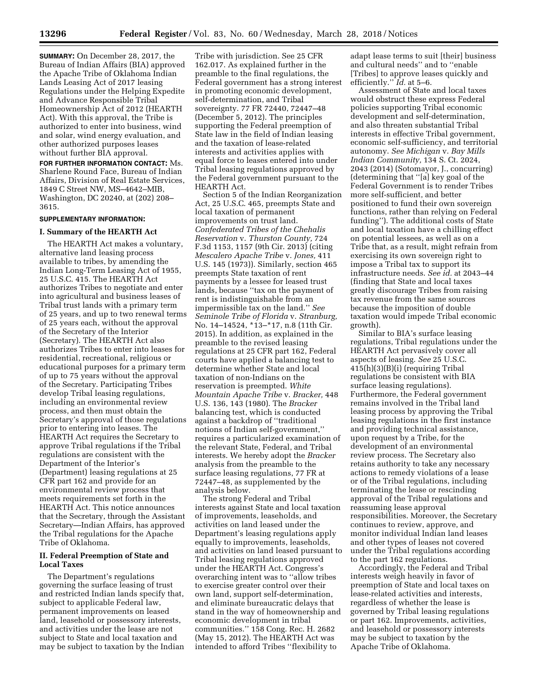**SUMMARY:** On December 28, 2017, the Bureau of Indian Affairs (BIA) approved the Apache Tribe of Oklahoma Indian Lands Leasing Act of 2017 leasing Regulations under the Helping Expedite and Advance Responsible Tribal Homeownership Act of 2012 (HEARTH Act). With this approval, the Tribe is authorized to enter into business, wind and solar, wind energy evaluation, and other authorized purposes leases without further BIA approval.

**FOR FURTHER INFORMATION CONTACT:** Ms. Sharlene Round Face, Bureau of Indian Affairs, Division of Real Estate Services, 1849 C Street NW, MS–4642–MIB, Washington, DC 20240, at (202) 208– 3615.

#### **SUPPLEMENTARY INFORMATION:**

#### **I. Summary of the HEARTH Act**

The HEARTH Act makes a voluntary, alternative land leasing process available to tribes, by amending the Indian Long-Term Leasing Act of 1955, 25 U.S.C. 415. The HEARTH Act authorizes Tribes to negotiate and enter into agricultural and business leases of Tribal trust lands with a primary term of 25 years, and up to two renewal terms of 25 years each, without the approval of the Secretary of the Interior (Secretary). The HEARTH Act also authorizes Tribes to enter into leases for residential, recreational, religious or educational purposes for a primary term of up to 75 years without the approval of the Secretary. Participating Tribes develop Tribal leasing regulations, including an environmental review process, and then must obtain the Secretary's approval of those regulations prior to entering into leases. The HEARTH Act requires the Secretary to approve Tribal regulations if the Tribal regulations are consistent with the Department of the Interior's (Department) leasing regulations at 25 CFR part 162 and provide for an environmental review process that meets requirements set forth in the HEARTH Act. This notice announces that the Secretary, through the Assistant Secretary—Indian Affairs, has approved the Tribal regulations for the Apache Tribe of Oklahoma.

## **II. Federal Preemption of State and Local Taxes**

The Department's regulations governing the surface leasing of trust and restricted Indian lands specify that, subject to applicable Federal law, permanent improvements on leased land, leasehold or possessory interests, and activities under the lease are not subject to State and local taxation and may be subject to taxation by the Indian

Tribe with jurisdiction. See 25 CFR 162.017. As explained further in the preamble to the final regulations, the Federal government has a strong interest in promoting economic development, self-determination, and Tribal sovereignty. 77 FR 72440, 72447–48 (December 5, 2012). The principles supporting the Federal preemption of State law in the field of Indian leasing and the taxation of lease-related interests and activities applies with equal force to leases entered into under Tribal leasing regulations approved by the Federal government pursuant to the HEARTH Act.

Section 5 of the Indian Reorganization Act, 25 U.S.C. 465, preempts State and local taxation of permanent improvements on trust land. *Confederated Tribes of the Chehalis Reservation* v. *Thurston County,* 724 F.3d 1153, 1157 (9th Cir. 2013) (citing *Mescalero Apache Tribe* v. *Jones,* 411 U.S. 145 (1973)). Similarly, section 465 preempts State taxation of rent payments by a lessee for leased trust lands, because "tax on the payment of rent is indistinguishable from an impermissible tax on the land.'' *See Seminole Tribe of Florida* v. *Stranburg,*  No. 14–14524, \*13–\*17, n.8 (11th Cir. 2015). In addition, as explained in the preamble to the revised leasing regulations at 25 CFR part 162, Federal courts have applied a balancing test to determine whether State and local taxation of non-Indians on the reservation is preempted. *White Mountain Apache Tribe* v. *Bracker,* 448 U.S. 136, 143 (1980). The *Bracker*  balancing test, which is conducted against a backdrop of ''traditional notions of Indian self-government,'' requires a particularized examination of the relevant State, Federal, and Tribal interests. We hereby adopt the *Bracker*  analysis from the preamble to the surface leasing regulations, 77 FR at 72447–48, as supplemented by the analysis below.

The strong Federal and Tribal interests against State and local taxation of improvements, leaseholds, and activities on land leased under the Department's leasing regulations apply equally to improvements, leaseholds, and activities on land leased pursuant to Tribal leasing regulations approved under the HEARTH Act. Congress's overarching intent was to ''allow tribes to exercise greater control over their own land, support self-determination, and eliminate bureaucratic delays that stand in the way of homeownership and economic development in tribal communities.'' 158 Cong. Rec. H. 2682 (May 15, 2012). The HEARTH Act was intended to afford Tribes ''flexibility to

adapt lease terms to suit [their] business and cultural needs'' and to ''enable [Tribes] to approve leases quickly and efficiently.'' *Id.* at 5–6.

Assessment of State and local taxes would obstruct these express Federal policies supporting Tribal economic development and self-determination, and also threaten substantial Tribal interests in effective Tribal government, economic self-sufficiency, and territorial autonomy. *See Michigan* v. *Bay Mills Indian Community,* 134 S. Ct. 2024, 2043 (2014) (Sotomayor, J., concurring) (determining that ''[a] key goal of the Federal Government is to render Tribes more self-sufficient, and better positioned to fund their own sovereign functions, rather than relying on Federal funding''). The additional costs of State and local taxation have a chilling effect on potential lessees, as well as on a Tribe that, as a result, might refrain from exercising its own sovereign right to impose a Tribal tax to support its infrastructure needs. *See id.* at 2043–44 (finding that State and local taxes greatly discourage Tribes from raising tax revenue from the same sources because the imposition of double taxation would impede Tribal economic growth).

Similar to BIA's surface leasing regulations, Tribal regulations under the HEARTH Act pervasively cover all aspects of leasing. *See* 25 U.S.C. 415(h)(3)(B)(i) (requiring Tribal regulations be consistent with BIA surface leasing regulations). Furthermore, the Federal government remains involved in the Tribal land leasing process by approving the Tribal leasing regulations in the first instance and providing technical assistance, upon request by a Tribe, for the development of an environmental review process. The Secretary also retains authority to take any necessary actions to remedy violations of a lease or of the Tribal regulations, including terminating the lease or rescinding approval of the Tribal regulations and reassuming lease approval responsibilities. Moreover, the Secretary continues to review, approve, and monitor individual Indian land leases and other types of leases not covered under the Tribal regulations according to the part 162 regulations.

Accordingly, the Federal and Tribal interests weigh heavily in favor of preemption of State and local taxes on lease-related activities and interests, regardless of whether the lease is governed by Tribal leasing regulations or part 162. Improvements, activities, and leasehold or possessory interests may be subject to taxation by the Apache Tribe of Oklahoma.